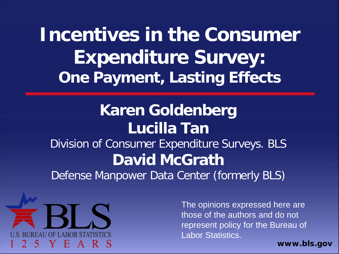**Incentives in the Consumer Expenditure Survey: One Payment, Lasting Effects**

#### **Karen Goldenberg Lucilla Tan** Division of Consumer Expenditure Surveys. BLS **David McGrath** Defense Manpower Data Center (formerly BLS)



The opinions expressed here are those of the authors and do not represent policy for the Bureau of Labor Statistics.

*www.bls.gov*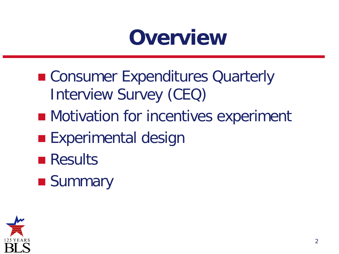### **Overview**

- Consumer Expenditures Quarterly Interview Survey (CEQ)
- **Motivation for incentives experiment**
- **Experimental design**
- **Results**
- **Summary**

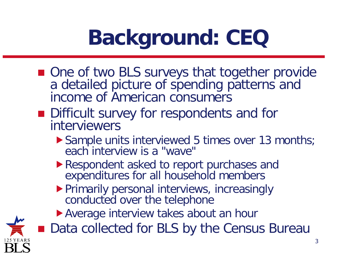# **Background: CEQ**

- One of two BLS surveys that together provide a detailed picture of spending patterns and income of American consumers
- Difficult survey for respondents and for interviewers
	- ▶ Sample units interviewed 5 times over 13 months; each interview is a "wave"
	- Respondent asked to report purchases and expenditures for all household members
	- **Primarily personal interviews, increasingly** conducted over the telephone
	- Average interview takes about an hour

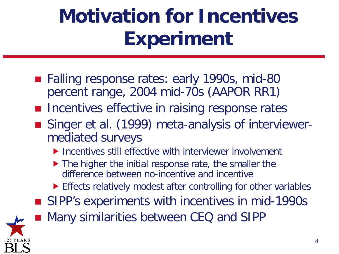## **Motivation for Incentives Experiment**

- Falling response rates: early 1990s, mid-80 percent range, 2004 mid-70s (AAPOR RR1)
- **Incentives effective in raising response rates**
- Singer et al. (1999) meta-analysis of interviewermediated surveys
	- **Incentives still effective with interviewer involvement**
	- ▶ The higher the initial response rate, the smaller the difference between no-incentive and incentive
	- Effects relatively modest after controlling for other variables
- SIPP's experiments with incentives in mid-1990s



4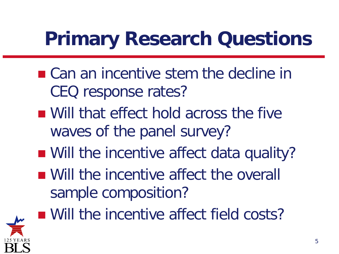### **Primary Research Questions**

- Can an incentive stem the decline in CEQ response rates?
- Will that effect hold across the five waves of the panel survey?
- Will the incentive affect data quality?
- Will the incentive affect the overall sample composition?



■ Will the incentive affect field costs?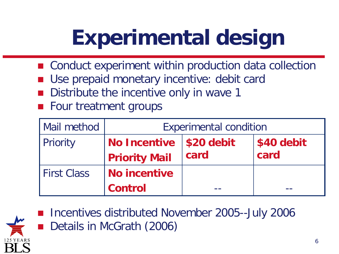# **Experimental design**

- Conduct experiment within production data collection
- Use prepaid monetary incentive: debit card
- Distribute the incentive only in wave 1
- Four treatment groups

| <b>Mail method</b> | <b>Experimental condition</b>                     |      |                    |  |  |
|--------------------|---------------------------------------------------|------|--------------------|--|--|
| Priority           | No Incentive   \$20 debit<br><b>Priority Mail</b> | card | \$40 debit<br>card |  |  |
| <b>First Class</b> | <b>No incentive</b>                               |      |                    |  |  |
|                    | <b>Control</b>                                    |      |                    |  |  |



 Incentives distributed November 2005--July 2006 Details in McGrath (2006)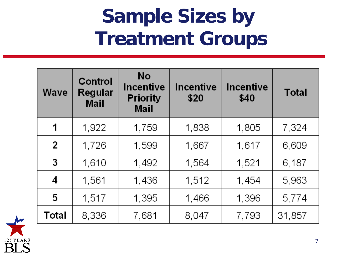#### **Sample Sizes by Treatment Groups**

| Wave           | <b>Control</b><br>Regular<br>Mail | No<br>Incentive<br><b>Priority</b><br><b>Mail</b> | <b>Incentive</b><br>\$20 | Incentive<br>\$40 | <b>Total</b> |
|----------------|-----------------------------------|---------------------------------------------------|--------------------------|-------------------|--------------|
| 1              | 1,922                             | 1,759                                             | 1,838                    | 1,805             | 7,324        |
| $\overline{2}$ | 1,726                             | 1,599                                             | 1,667                    | 1,617             | 6,609        |
| 3              | 1,610                             | 1,492                                             | 1,564                    | 1,521             | 6,187        |
| 4              | 1,561                             | 1,436                                             | 1,512                    | 1,454             | 5,963        |
| 5              | 1,517                             | 1,395                                             | 1,466                    | 1,396             | 5,774        |
| Total          | 8,336                             | 7,681                                             | 8,047                    | 7,793             | 31,857       |

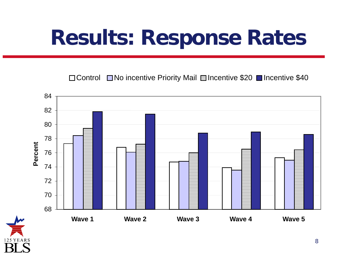# **Results: Response Rates**

□ Control □ No incentive Priority Mail □ Incentive \$20 ■ Incentive \$40



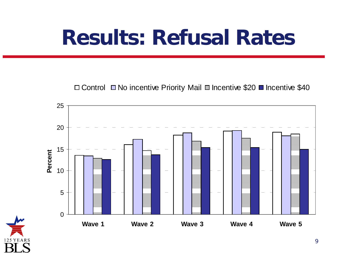## **Results: Refusal Rates**

 $\Box$  Control  $\Box$  No incentive Priority Mail  $\Box$  Incentive \$20  $\Box$  Incentive \$40



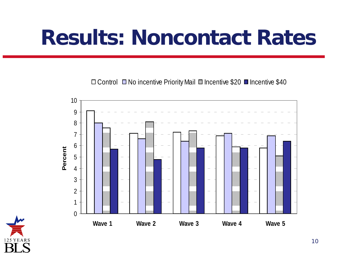## **Results: Noncontact Rates**

 $\Box$  Control  $\Box$  No incentive Priority Mail  $\Box$  Incentive \$20  $\Box$  Incentive \$40



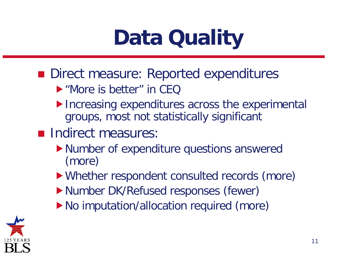# **Data Quality**

- Direct measure: Reported expenditures
	- "More is better" in CEQ
	- ▶ Increasing expenditures across the experimental groups, most not statistically significant
- **Indirect measures:** 
	- Number of expenditure questions answered (more)
	- Whether respondent consulted records (more)
	- Number DK/Refused responses (fewer)
	- ▶ No imputation/allocation required (more)

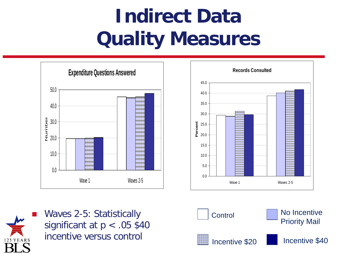### **Indirect Data Quality Measures**





 Waves 2-5: Statistically significant at p < .05 \$40 incentive versus control

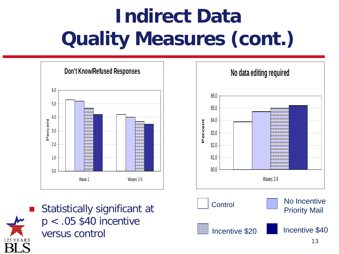## **Indirect Data Quality Measures (cont.)**





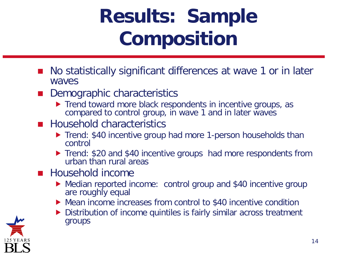## **Results: Sample Composition**

- No statistically significant differences at wave 1 or in later waves
- Demographic characteristics
	- ▶ Trend toward more black respondents in incentive groups, as compared to control group, in wave 1 and in later waves
- **Household characteristics** 
	- ▶ Trend: \$40 incentive group had more 1-person households than control
	- ▶ Trend: \$20 and \$40 incentive groups had more respondents from urban than rural areas
- **Household income** 
	- Median reported income: control group and \$40 incentive group are roughly equal
	- Mean income increases from control to \$40 incentive condition
	- ▶ Distribution of income quintiles is fairly similar across treatment groups

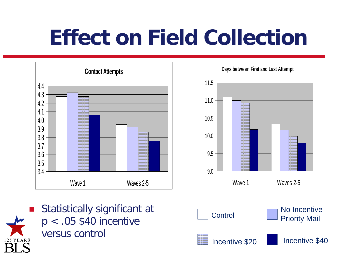# **Effect on Field Collection**





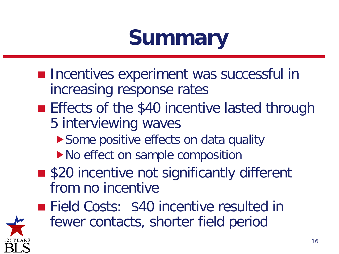# **Summary**

- **Incentives experiment was successful in** increasing response rates
- **Effects of the \$40 incentive lasted through** 5 interviewing waves
	- ▶ Some positive effects on data quality
	- ▶ No effect on sample composition
- \$20 incentive not significantly different from no incentive
- **Field Costs: \$40 incentive resulted in** fewer contacts, shorter field period